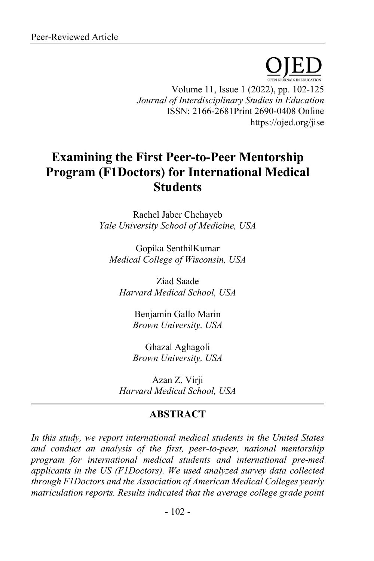Volume 11, Issue 1 (2022), pp. 102-125 *Journal of Interdisciplinary Studies in Education* ISSN: 2166-2681Print 2690-0408 Online https://ojed.org/jise

# **Examining the First Peer-to-Peer Mentorship Program (F1Doctors) for International Medical Students**

Rachel Jaber Chehayeb *Yale University School of Medicine, USA*

Gopika SenthilKumar *Medical College of Wisconsin, USA*

Ziad Saade *Harvard Medical School, USA*

> Benjamin Gallo Marin *Brown University, USA*

> Ghazal Aghagoli *Brown University, USA*

Azan Z. Virji *Harvard Medical School, USA*

# **ABSTRACT**

*In this study, we report international medical students in the United States and conduct an analysis of the first, peer-to-peer, national mentorship program for international medical students and international pre-med applicants in the US (F1Doctors). We used analyzed survey data collected through F1Doctors and the Association of American Medical Colleges yearly matriculation reports. Results indicated that the average college grade point*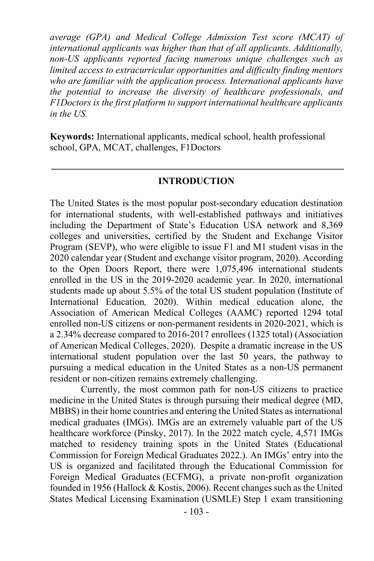*average (GPA) and Medical College Admission Test score (MCAT) of international applicants was higher than that of all applicants. Additionally, non-US applicants reported facing numerous unique challenges such as limited access to extracurricular opportunities and difficulty finding mentors who are familiar with the application process. International applicants have the potential to increase the diversity of healthcare professionals, and F1Doctors is the first platform to support international healthcare applicants in the US.*

**Keywords:** International applicants, medical school, health professional school, GPA, MCAT, challenges, F1Doctors

#### **INTRODUCTION**

The United States is the most popular post-secondary education destination for international students, with well-established pathways and initiatives including the Department of State's Education USA network and 8,369 colleges and universities, certified by the Student and Exchange Visitor Program (SEVP), who were eligible to issue F1 and M1 student visas in the 2020 calendar year (Student and exchange visitor program, 2020). According to the Open Doors Report, there were 1,075,496 international students enrolled in the US in the 2019-2020 academic year. In 2020, international students made up about 5.5% of the total US student population (Institute of International Education*,* 2020). Within medical education alone, the Association of American Medical Colleges (AAMC) reported 1294 total enrolled non-US citizens or non-permanent residents in 2020-2021, which is a 2.34% decrease compared to 2016-2017 enrollees (1325 total) (Association of American Medical Colleges, 2020). Despite a dramatic increase in the US international student population over the last 50 years, the pathway to pursuing a medical education in the United States as a non-US permanent resident or non-citizen remains extremely challenging.

Currently, the most common path for non-US citizens to practice medicine in the United States is through pursuing their medical degree (MD, MBBS) in their home countries and entering the United States as international medical graduates (IMGs). IMGs are an extremely valuable part of the US healthcare workforce (Pinsky, 2017). In the 2022 match cycle, 4,571 IMGs matched to residency training spots in the United States (Educational Commission for Foreign Medical Graduates 2022.). An IMGs' entry into the US is organized and facilitated through the Educational Commission for Foreign Medical Graduates (ECFMG), a private non-profit organization founded in 1956 (Hallock & Kostis, 2006). Recent changes such as the United States Medical Licensing Examination (USMLE) Step 1 exam transitioning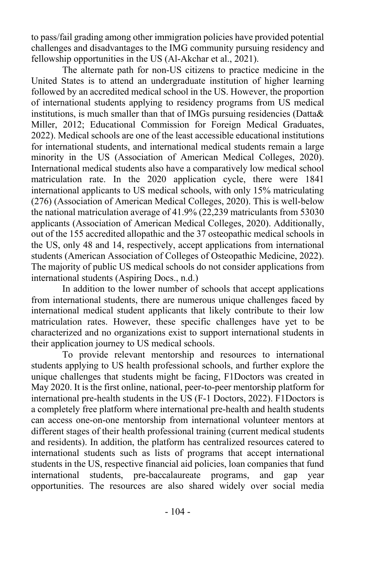to pass/fail grading among other immigration policies have provided potential challenges and disadvantages to the IMG community pursuing residency and fellowship opportunities in the US (Al-Akchar et al., 2021).

The alternate path for non-US citizens to practice medicine in the United States is to attend an undergraduate institution of higher learning followed by an accredited medical school in the US. However, the proportion of international students applying to residency programs from US medical institutions, is much smaller than that of IMGs pursuing residencies (Datta& Miller, 2012; Educational Commission for Foreign Medical Graduates, 2022). Medical schools are one of the least accessible educational institutions for international students, and international medical students remain a large minority in the US (Association of American Medical Colleges, 2020). International medical students also have a comparatively low medical school matriculation rate. In the 2020 application cycle, there were 1841 international applicants to US medical schools, with only 15% matriculating (276) (Association of American Medical Colleges, 2020). This is well-below the national matriculation average of 41.9% (22,239 matriculants from 53030 applicants (Association of American Medical Colleges, 2020). Additionally, out of the 155 accredited allopathic and the 37 osteopathic medical schools in the US, only 48 and 14, respectively, accept applications from international students (American Association of Colleges of Osteopathic Medicine, 2022). The majority of public US medical schools do not consider applications from international students (Aspiring Docs., n.d.)

In addition to the lower number of schools that accept applications from international students, there are numerous unique challenges faced by international medical student applicants that likely contribute to their low matriculation rates. However, these specific challenges have yet to be characterized and no organizations exist to support international students in their application journey to US medical schools.

To provide relevant mentorship and resources to international students applying to US health professional schools, and further explore the unique challenges that students might be facing, F1Doctors was created in May 2020. It is the first online, national, peer-to-peer mentorship platform for international pre-health students in the US (F-1 Doctors, 2022). F1Doctors is a completely free platform where international pre-health and health students can access one-on-one mentorship from international volunteer mentors at different stages of their health professional training (current medical students and residents). In addition, the platform has centralized resources catered to international students such as lists of programs that accept international students in the US, respective financial aid policies, loan companies that fund international students, pre-baccalaureate programs, and gap year opportunities. The resources are also shared widely over social media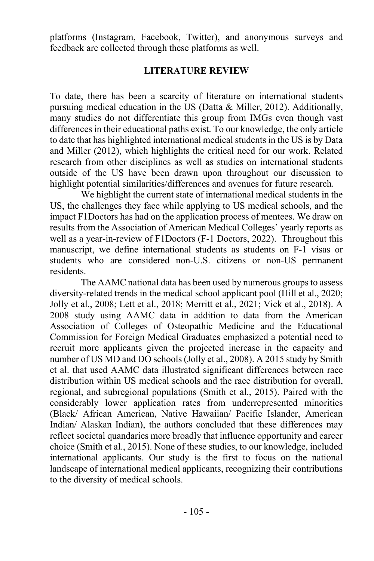platforms (Instagram, Facebook, Twitter), and anonymous surveys and feedback are collected through these platforms as well.

# **LITERATURE REVIEW**

To date, there has been a scarcity of literature on international students pursuing medical education in the US (Datta & Miller, 2012). Additionally, many studies do not differentiate this group from IMGs even though vast differences in their educational paths exist. To our knowledge, the only article to date that has highlighted international medical students in the US is by Data and Miller (2012), which highlights the critical need for our work. Related research from other disciplines as well as studies on international students outside of the US have been drawn upon throughout our discussion to highlight potential similarities/differences and avenues for future research.

We highlight the current state of international medical students in the US, the challenges they face while applying to US medical schools, and the impact F1Doctors has had on the application process of mentees. We draw on results from the Association of American Medical Colleges' yearly reports as well as a year-in-review of F1Doctors (F-1 Doctors, 2022). Throughout this manuscript, we define international students as students on F-1 visas or students who are considered non-U.S. citizens or non-US permanent residents.

The AAMC national data has been used by numerous groups to assess diversity-related trends in the medical school applicant pool (Hill et al., 2020; Jolly et al., 2008; Lett et al., 2018; Merritt et al., 2021; Vick et al., 2018). A 2008 study using AAMC data in addition to data from the American Association of Colleges of Osteopathic Medicine and the Educational Commission for Foreign Medical Graduates emphasized a potential need to recruit more applicants given the projected increase in the capacity and number of US MD and DO schools (Jolly et al., 2008). A 2015 study by Smith et al. that used AAMC data illustrated significant differences between race distribution within US medical schools and the race distribution for overall, regional, and subregional populations (Smith et al., 2015). Paired with the considerably lower application rates from underrepresented minorities (Black/ African American, Native Hawaiian/ Pacific Islander, American Indian/ Alaskan Indian), the authors concluded that these differences may reflect societal quandaries more broadly that influence opportunity and career choice (Smith et al., 2015). None of these studies, to our knowledge, included international applicants. Our study is the first to focus on the national landscape of international medical applicants, recognizing their contributions to the diversity of medical schools.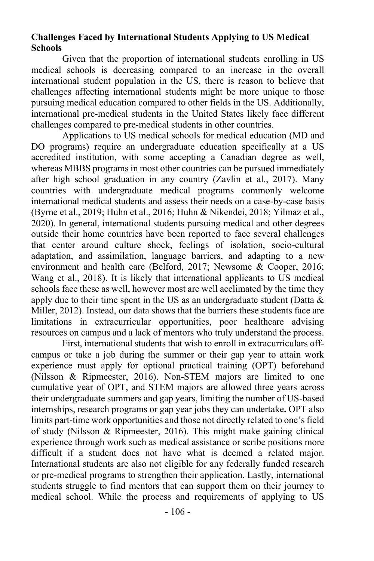### **Challenges Faced by International Students Applying to US Medical Schools**

Given that the proportion of international students enrolling in US medical schools is decreasing compared to an increase in the overall international student population in the US, there is reason to believe that challenges affecting international students might be more unique to those pursuing medical education compared to other fields in the US. Additionally, international pre-medical students in the United States likely face different challenges compared to pre-medical students in other countries.

Applications to US medical schools for medical education (MD and DO programs) require an undergraduate education specifically at a US accredited institution, with some accepting a Canadian degree as well, whereas MBBS programs in most other countries can be pursued immediately after high school graduation in any country (Zavlin et al., 2017). Many countries with undergraduate medical programs commonly welcome international medical students and assess their needs on a case-by-case basis (Byrne et al., 2019; Huhn et al., 2016; Huhn & Nikendei, 2018; Yilmaz et al., 2020). In general, international students pursuing medical and other degrees outside their home countries have been reported to face several challenges that center around culture shock, feelings of isolation, socio-cultural adaptation, and assimilation, language barriers, and adapting to a new environment and health care (Belford, 2017; Newsome & Cooper, 2016; Wang et al., 2018). It is likely that international applicants to US medical schools face these as well, however most are well acclimated by the time they apply due to their time spent in the US as an undergraduate student (Datta  $\&$ Miller, 2012). Instead, our data shows that the barriers these students face are limitations in extracurricular opportunities, poor healthcare advising resources on campus and a lack of mentors who truly understand the process.

First, international students that wish to enroll in extracurriculars offcampus or take a job during the summer or their gap year to attain work experience must apply for optional practical training (OPT) beforehand (Nilsson & Ripmeester, 2016). Non-STEM majors are limited to one cumulative year of OPT, and STEM majors are allowed three years across their undergraduate summers and gap years, limiting the number of US-based internships, research programs or gap year jobs they can undertake**.** OPT also limits part-time work opportunities and those not directly related to one's field of study (Nilsson & Ripmeester, 2016). This might make gaining clinical experience through work such as medical assistance or scribe positions more difficult if a student does not have what is deemed a related major. International students are also not eligible for any federally funded research or pre-medical programs to strengthen their application. Lastly, international students struggle to find mentors that can support them on their journey to medical school. While the process and requirements of applying to US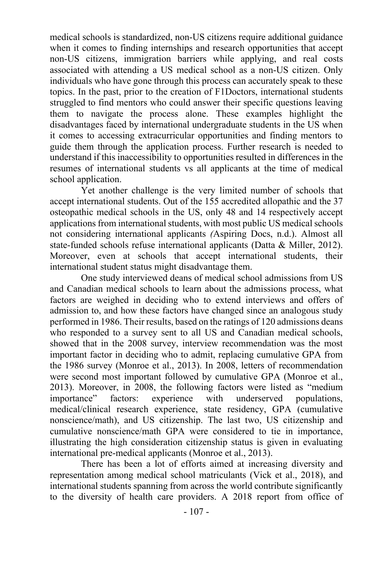medical schools is standardized, non-US citizens require additional guidance when it comes to finding internships and research opportunities that accept non-US citizens, immigration barriers while applying, and real costs associated with attending a US medical school as a non-US citizen. Only individuals who have gone through this process can accurately speak to these topics. In the past, prior to the creation of F1Doctors, international students struggled to find mentors who could answer their specific questions leaving them to navigate the process alone. These examples highlight the disadvantages faced by international undergraduate students in the US when it comes to accessing extracurricular opportunities and finding mentors to guide them through the application process. Further research is needed to understand if this inaccessibility to opportunities resulted in differences in the resumes of international students vs all applicants at the time of medical school application.

Yet another challenge is the very limited number of schools that accept international students. Out of the 155 accredited allopathic and the 37 osteopathic medical schools in the US, only 48 and 14 respectively accept applications from international students, with most public US medical schools not considering international applicants *(*Aspiring Docs, n.d.). Almost all state-funded schools refuse international applicants (Datta & Miller, 2012). Moreover, even at schools that accept international students, their international student status might disadvantage them.

One study interviewed deans of medical school admissions from US and Canadian medical schools to learn about the admissions process, what factors are weighed in deciding who to extend interviews and offers of admission to, and how these factors have changed since an analogous study performed in 1986. Their results, based on the ratings of 120 admissions deans who responded to a survey sent to all US and Canadian medical schools, showed that in the 2008 survey, interview recommendation was the most important factor in deciding who to admit, replacing cumulative GPA from the 1986 survey (Monroe et al., 2013). In 2008, letters of recommendation were second most important followed by cumulative GPA (Monroe et al., 2013). Moreover, in 2008, the following factors were listed as "medium importance" factors: experience with underserved populations, medical/clinical research experience, state residency, GPA (cumulative nonscience/math), and US citizenship. The last two, US citizenship and cumulative nonscience/math GPA were considered to tie in importance, illustrating the high consideration citizenship status is given in evaluating international pre-medical applicants (Monroe et al., 2013).

There has been a lot of efforts aimed at increasing diversity and representation among medical school matriculants (Vick et al., 2018), and international students spanning from across the world contribute significantly to the diversity of health care providers. A 2018 report from office of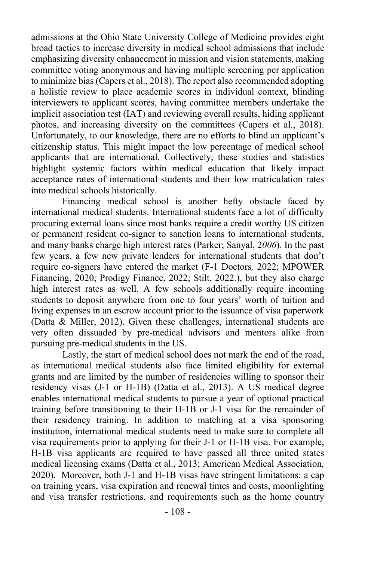admissions at the Ohio State University College of Medicine provides eight broad tactics to increase diversity in medical school admissions that include emphasizing diversity enhancement in mission and vision statements, making committee voting anonymous and having multiple screening per application to minimize bias (Capers et al., 2018). The report also recommended adopting a holistic review to place academic scores in individual context, blinding interviewers to applicant scores, having committee members undertake the implicit association test (IAT) and reviewing overall results, hiding applicant photos, and increasing diversity on the committees (Capers et al., 2018). Unfortunately, to our knowledge, there are no efforts to blind an applicant's citizenship status. This might impact the low percentage of medical school applicants that are international. Collectively, these studies and statistics highlight systemic factors within medical education that likely impact acceptance rates of international students and their low matriculation rates into medical schools historically.

Financing medical school is another hefty obstacle faced by international medical students. International students face a lot of difficulty procuring external loans since most banks require a credit worthy US citizen or permanent resident co-signer to sanction loans to international students, and many banks charge high interest rates (Parker; Sanyal, 2*006*). In the past few years, a few new private lenders for international students that don't require co-signers have entered the market (F-1 Doctors*,* 2022; MPOWER Financing, 2020; Prodigy Finance, 2022; Stilt, 2022.), but they also charge high interest rates as well. A few schools additionally require incoming students to deposit anywhere from one to four years' worth of tuition and living expenses in an escrow account prior to the issuance of visa paperwork (Datta & Miller, 2012). Given these challenges, international students are very often dissuaded by pre-medical advisors and mentors alike from pursuing pre-medical students in the US.

Lastly, the start of medical school does not mark the end of the road, as international medical students also face limited eligibility for external grants and are limited by the number of residencies willing to sponsor their residency visas (J-1 or H-1B) (Datta et al., 2013). A US medical degree enables international medical students to pursue a year of optional practical training before transitioning to their H-1B or J-1 visa for the remainder of their residency training. In addition to matching at a visa sponsoring institution, international medical students need to make sure to complete all visa requirements prior to applying for their J-1 or H-1B visa. For example, H-1B visa applicants are required to have passed all three united states medical licensing exams (Datta et al., 2013; American Medical Association*,* 2020). Moreover, both J-1 and H-1B visas have stringent limitations: a cap on training years, visa expiration and renewal times and costs, moonlighting and visa transfer restrictions, and requirements such as the home country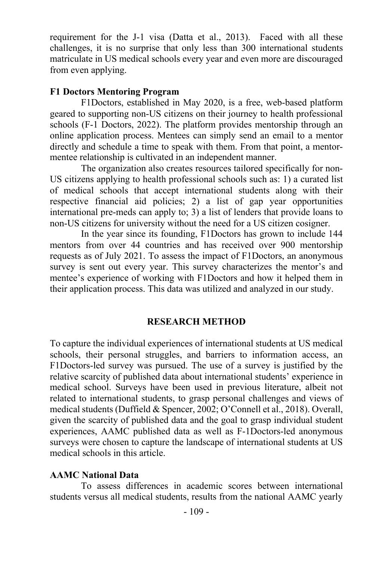requirement for the J-1 visa (Datta et al., 2013). Faced with all these challenges, it is no surprise that only less than 300 international students matriculate in US medical schools every year and even more are discouraged from even applying.

### **F1 Doctors Mentoring Program**

F1Doctors, established in May 2020, is a free, web-based platform geared to supporting non-US citizens on their journey to health professional schools (F-1 Doctors, 2022). The platform provides mentorship through an online application process. Mentees can simply send an email to a mentor directly and schedule a time to speak with them. From that point, a mentormentee relationship is cultivated in an independent manner.

The organization also creates resources tailored specifically for non-US citizens applying to health professional schools such as: 1) a curated list of medical schools that accept international students along with their respective financial aid policies; 2) a list of gap year opportunities international pre-meds can apply to; 3) a list of lenders that provide loans to non-US citizens for university without the need for a US citizen cosigner.

In the year since its founding, F1Doctors has grown to include 144 mentors from over 44 countries and has received over 900 mentorship requests as of July 2021. To assess the impact of F1Doctors, an anonymous survey is sent out every year. This survey characterizes the mentor's and mentee's experience of working with F1Doctors and how it helped them in their application process. This data was utilized and analyzed in our study.

#### **RESEARCH METHOD**

To capture the individual experiences of international students at US medical schools, their personal struggles, and barriers to information access, an F1Doctors-led survey was pursued. The use of a survey is justified by the relative scarcity of published data about international students' experience in medical school. Surveys have been used in previous literature, albeit not related to international students, to grasp personal challenges and views of medical students (Duffield & Spencer, 2002; O'Connell et al., 2018). Overall, given the scarcity of published data and the goal to grasp individual student experiences, AAMC published data as well as F-1Doctors-led anonymous surveys were chosen to capture the landscape of international students at US medical schools in this article.

#### **AAMC National Data**

To assess differences in academic scores between international students versus all medical students, results from the national AAMC yearly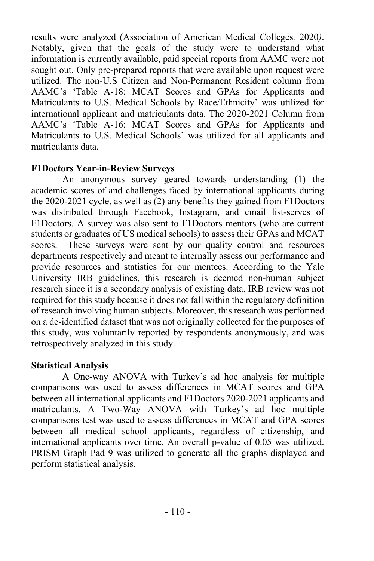results were analyzed (Association of American Medical Colleges*,* 2020*)*. Notably, given that the goals of the study were to understand what information is currently available, paid special reports from AAMC were not sought out. Only pre-prepared reports that were available upon request were utilized. The non-U.S Citizen and Non-Permanent Resident column from AAMC's 'Table A-18: MCAT Scores and GPAs for Applicants and Matriculants to U.S. Medical Schools by Race/Ethnicity' was utilized for international applicant and matriculants data. The 2020-2021 Column from AAMC's 'Table A-16: MCAT Scores and GPAs for Applicants and Matriculants to U.S. Medical Schools' was utilized for all applicants and matriculants data.

# **F1Doctors Year-in-Review Surveys**

An anonymous survey geared towards understanding (1) the academic scores of and challenges faced by international applicants during the 2020-2021 cycle, as well as (2) any benefits they gained from F1Doctors was distributed through Facebook, Instagram, and email list-serves of F1Doctors. A survey was also sent to F1Doctors mentors (who are current students or graduates of US medical schools) to assess their GPAs and MCAT scores. These surveys were sent by our quality control and resources departments respectively and meant to internally assess our performance and provide resources and statistics for our mentees. According to the Yale University IRB guidelines, this research is deemed non-human subject research since it is a secondary analysis of existing data. IRB review was not required for this study because it does not fall within the regulatory definition of research involving human subjects. Moreover, this research was performed on a de-identified dataset that was not originally collected for the purposes of this study, was voluntarily reported by respondents anonymously, and was retrospectively analyzed in this study.

# **Statistical Analysis**

A One-way ANOVA with Turkey's ad hoc analysis for multiple comparisons was used to assess differences in MCAT scores and GPA between all international applicants and F1Doctors 2020-2021 applicants and matriculants. A Two-Way ANOVA with Turkey's ad hoc multiple comparisons test was used to assess differences in MCAT and GPA scores between all medical school applicants, regardless of citizenship, and international applicants over time. An overall p-value of 0.05 was utilized. PRISM Graph Pad 9 was utilized to generate all the graphs displayed and perform statistical analysis.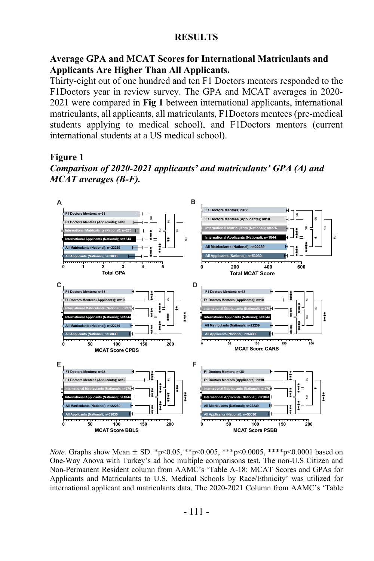#### **RESULTS**

### **Average GPA and MCAT Scores for International Matriculants and Applicants Are Higher Than All Applicants.**

Thirty-eight out of one hundred and ten F1 Doctors mentors responded to the F1Doctors year in review survey. The GPA and MCAT averages in 2020- 2021 were compared in **Fig 1** between international applicants, international matriculants, all applicants, all matriculants, F1Doctors mentees (pre-medical students applying to medical school), and F1Doctors mentors (current international students at a US medical school).

#### **Figure 1**

*Comparison of 2020-2021 applicants' and matriculants' GPA (A) and MCAT averages (B-F).*



*Note.* Graphs show Mean  $\pm$  SD. \*p<0.05, \*\*p<0.005, \*\*\*p<0.0005, \*\*\*\*p<0.0001 based on One-Way Anova with Turkey's ad hoc multiple comparisons test. The non-U.S Citizen and Non-Permanent Resident column from AAMC's 'Table A-18: MCAT Scores and GPAs for Applicants and Matriculants to U.S. Medical Schools by Race/Ethnicity' was utilized for international applicant and matriculants data. The 2020-2021 Column from AAMC's 'Table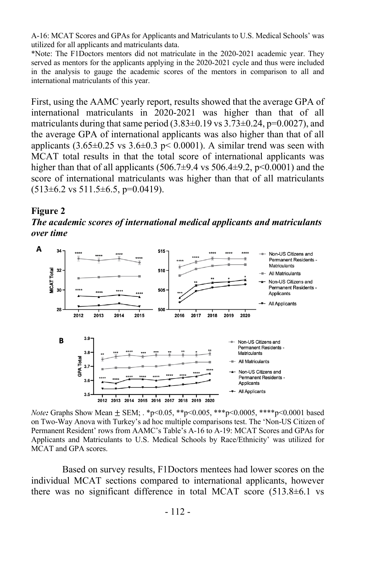A-16: MCAT Scores and GPAs for Applicants and Matriculants to U.S. Medical Schools' was utilized for all applicants and matriculants data.

\*Note: The F1Doctors mentors did not matriculate in the 2020-2021 academic year. They served as mentors for the applicants applying in the 2020-2021 cycle and thus were included in the analysis to gauge the academic scores of the mentors in comparison to all and international matriculants of this year.

First, using the AAMC yearly report, results showed that the average GPA of international matriculants in 2020-2021 was higher than that of all matriculants during that same period  $(3.83\pm0.19 \text{ vs } 3.73\pm0.24, \text{p}=0.0027)$ , and the average GPA of international applicants was also higher than that of all applicants  $(3.65\pm0.25 \text{ vs } 3.6\pm0.3 \text{ p} < 0.0001)$ . A similar trend was seen with MCAT total results in that the total score of international applicants was higher than that of all applicants (506.7 $\pm$ 9.4 vs 506.4 $\pm$ 9.2, p<0.0001) and the score of international matriculants was higher than that of all matriculants  $(513\pm6.2 \text{ vs } 511.5\pm6.5, \text{ p=0.0419}).$ 

#### **Figure 2**

*The academic scores of international medical applicants and matriculants over time*



*Note:* Graphs Show Mean ± SEM; . \*p<0.05, \*\*p<0.005, \*\*\*p<0.0005, \*\*\*\*p<0.0001 based on Two-Way Anova with Turkey's ad hoc multiple comparisons test. The 'Non-US Citizen of Permanent Resident' rows from AAMC's Table's A-16 to A-19: MCAT Scores and GPAs for Applicants and Matriculants to U.S. Medical Schools by Race/Ethnicity' was utilized for MCAT and GPA scores.

Based on survey results, F1Doctors mentees had lower scores on the individual MCAT sections compared to international applicants, however there was no significant difference in total MCAT score (513.8±6.1 vs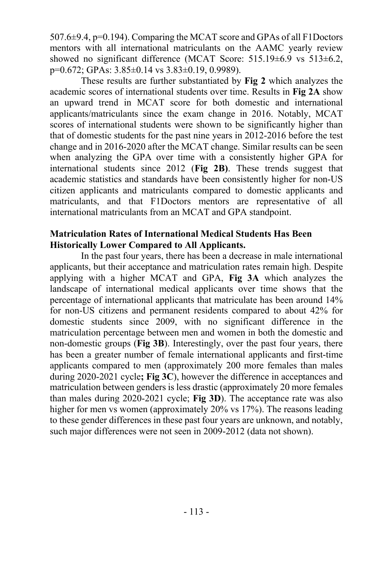507.6±9.4, p=0.194). Comparing the MCAT score and GPAs of all F1Doctors mentors with all international matriculants on the AAMC yearly review showed no significant difference (MCAT Score: 515.19±6.9 vs 513±6.2,  $p=0.672$ ; GPAs:  $3.85\pm0.14$  vs  $3.83\pm0.19$ , 0.9989).

These results are further substantiated by **Fig 2** which analyzes the academic scores of international students over time. Results in **Fig 2A** show an upward trend in MCAT score for both domestic and international applicants/matriculants since the exam change in 2016. Notably, MCAT scores of international students were shown to be significantly higher than that of domestic students for the past nine years in 2012-2016 before the test change and in 2016-2020 after the MCAT change. Similar results can be seen when analyzing the GPA over time with a consistently higher GPA for international students since 2012 (**Fig 2B)**. These trends suggest that academic statistics and standards have been consistently higher for non-US citizen applicants and matriculants compared to domestic applicants and matriculants, and that F1Doctors mentors are representative of all international matriculants from an MCAT and GPA standpoint.

### **Matriculation Rates of International Medical Students Has Been Historically Lower Compared to All Applicants.**

In the past four years, there has been a decrease in male international applicants, but their acceptance and matriculation rates remain high. Despite applying with a higher MCAT and GPA, **Fig 3A** which analyzes the landscape of international medical applicants over time shows that the percentage of international applicants that matriculate has been around 14% for non-US citizens and permanent residents compared to about 42% for domestic students since 2009, with no significant difference in the matriculation percentage between men and women in both the domestic and non-domestic groups (**Fig 3B**). Interestingly, over the past four years, there has been a greater number of female international applicants and first-time applicants compared to men (approximately 200 more females than males during 2020-2021 cycle**; Fig 3C**), however the difference in acceptances and matriculation between genders is less drastic (approximately 20 more females than males during 2020-2021 cycle; **Fig 3D**). The acceptance rate was also higher for men vs women (approximately 20% vs 17%). The reasons leading to these gender differences in these past four years are unknown, and notably, such major differences were not seen in 2009-2012 (data not shown).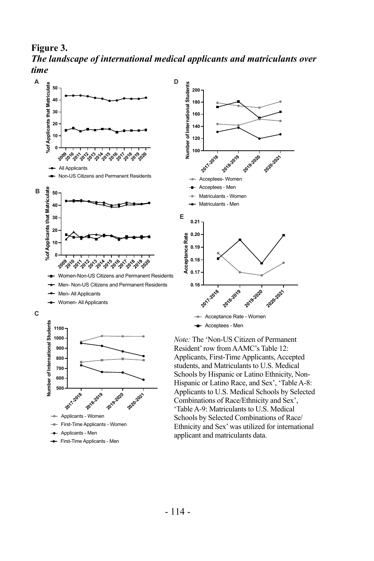**Figure 3.**  *The landscape of international medical applicants and matriculants over time*



- Applicants Men
- First-Time Applicants Men

applicant and matriculants data.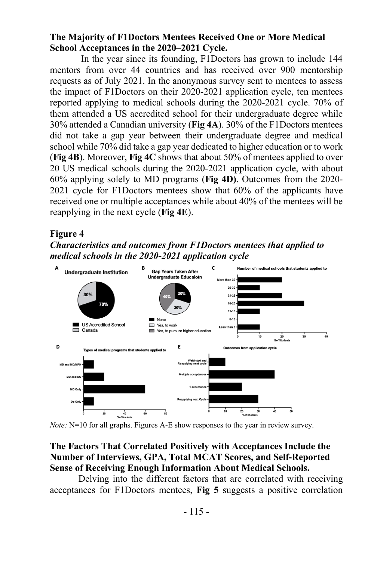### **The Majority of F1Doctors Mentees Received One or More Medical School Acceptances in the 2020–2021 Cycle.**

In the year since its founding, F1Doctors has grown to include 144 mentors from over 44 countries and has received over 900 mentorship requests as of July 2021. In the anonymous survey sent to mentees to assess the impact of F1Doctors on their 2020-2021 application cycle, ten mentees reported applying to medical schools during the 2020-2021 cycle. 70% of them attended a US accredited school for their undergraduate degree while 30% attended a Canadian university (**Fig 4A**). 30% of the F1Doctors mentees did not take a gap year between their undergraduate degree and medical school while 70% did take a gap year dedicated to higher education or to work (**Fig 4B**). Moreover, **Fig 4C** shows that about 50% of mentees applied to over 20 US medical schools during the 2020-2021 application cycle, with about 60% applying solely to MD programs (**Fig 4D)**. Outcomes from the 2020- 2021 cycle for F1Doctors mentees show that 60% of the applicants have received one or multiple acceptances while about 40% of the mentees will be reapplying in the next cycle (**Fig 4E**).

# **Figure 4**

# *Characteristics and outcomes from F1Doctors mentees that applied to medical schools in the 2020-2021 application cycle*



*Note:* N=10 for all graphs. Figures A-E show responses to the year in review survey.

# **The Factors That Correlated Positively with Acceptances Include the Number of Interviews, GPA, Total MCAT Scores, and Self-Reported Sense of Receiving Enough Information About Medical Schools.**

 Delving into the different factors that are correlated with receiving acceptances for F1Doctors mentees, **Fig 5** suggests a positive correlation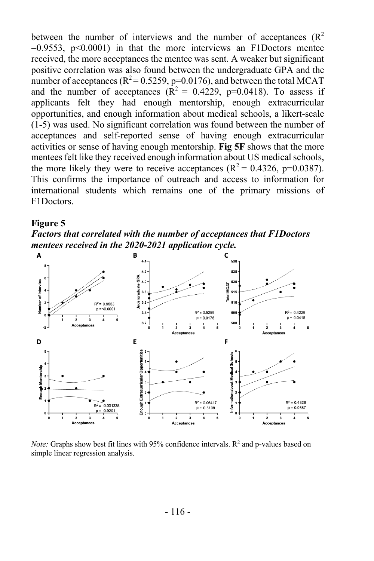between the number of interviews and the number of acceptances  $(R^2)$  $=0.9553$ ,  $p<0.0001$ ) in that the more interviews an F1Doctors mentee received, the more acceptances the mentee was sent. A weaker but significant positive correlation was also found between the undergraduate GPA and the number of acceptances ( $R^2$  = 0.5259, p=0.0176), and between the total MCAT and the number of acceptances  $(R^2 = 0.4229, p=0.0418)$ . To assess if applicants felt they had enough mentorship, enough extracurricular opportunities, and enough information about medical schools, a likert-scale (1-5) was used. No significant correlation was found between the number of acceptances and self-reported sense of having enough extracurricular activities or sense of having enough mentorship. **Fig 5F** shows that the more mentees felt like they received enough information about US medical schools, the more likely they were to receive acceptances ( $R^2 = 0.4326$ , p=0.0387). This confirms the importance of outreach and access to information for international students which remains one of the primary missions of F1Doctors.

#### **Figure 5**

*Factors that correlated with the number of acceptances that F1Doctors mentees received in the 2020-2021 application cycle.* 



*Note:* Graphs show best fit lines with 95% confidence intervals.  $R<sup>2</sup>$  and p-values based on simple linear regression analysis.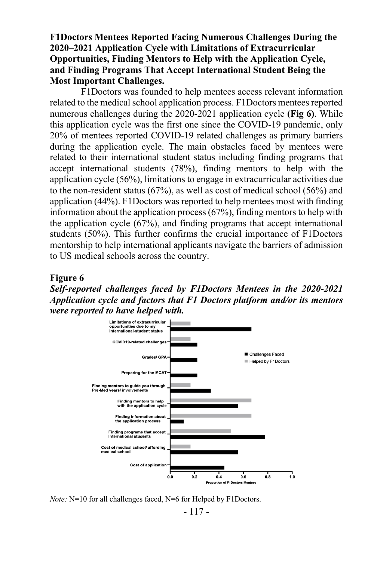**F1Doctors Mentees Reported Facing Numerous Challenges During the 2020–2021 Application Cycle with Limitations of Extracurricular Opportunities, Finding Mentors to Help with the Application Cycle, and Finding Programs That Accept International Student Being the Most Important Challenges.** 

F1Doctors was founded to help mentees access relevant information related to the medical school application process. F1Doctors mentees reported numerous challenges during the 2020-2021 application cycle **(Fig 6)**. While this application cycle was the first one since the COVID-19 pandemic, only 20% of mentees reported COVID-19 related challenges as primary barriers during the application cycle. The main obstacles faced by mentees were related to their international student status including finding programs that accept international students (78%), finding mentors to help with the application cycle (56%), limitations to engage in extracurricular activities due to the non-resident status (67%), as well as cost of medical school (56%) and application (44%). F1Doctors was reported to help mentees most with finding information about the application process (67%), finding mentors to help with the application cycle (67%), and finding programs that accept international students (50%). This further confirms the crucial importance of F1Doctors mentorship to help international applicants navigate the barriers of admission to US medical schools across the country.

#### **Figure 6**

*Self-reported challenges faced by F1Doctors Mentees in the 2020-2021 Application cycle and factors that F1 Doctors platform and/or its mentors were reported to have helped with.* 



*Note:* N=10 for all challenges faced, N=6 for Helped by F1Doctors.

- 117 -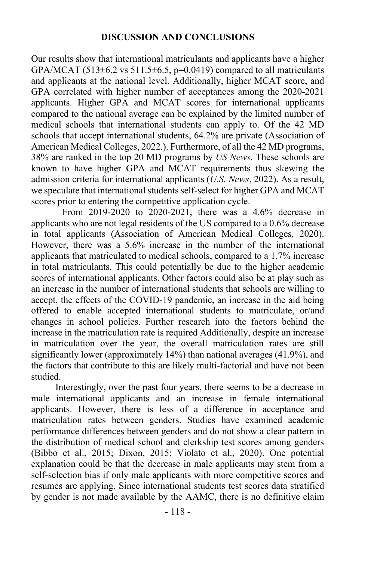### **DISCUSSION AND CONCLUSIONS**

Our results show that international matriculants and applicants have a higher GPA/MCAT (513 $\pm$ 6.2 vs 511.5 $\pm$ 6.5, p=0.0419) compared to all matriculants and applicants at the national level. Additionally, higher MCAT score, and GPA correlated with higher number of acceptances among the 2020-2021 applicants. Higher GPA and MCAT scores for international applicants compared to the national average can be explained by the limited number of medical schools that international students can apply to. Of the 42 MD schools that accept international students, 64.2% are private (Association of American Medical Colleges, 2022.). Furthermore, of all the 42 MD programs, 38% are ranked in the top 20 MD programs by *US News*. These schools are known to have higher GPA and MCAT requirements thus skewing the admission criteria for international applicants (*U.S. News*, 2022). As a result, we speculate that international students self-select for higher GPA and MCAT scores prior to entering the competitive application cycle.

From 2019-2020 to 2020-2021, there was a 4.6% decrease in applicants who are not legal residents of the US compared to a 0.6% decrease in total applicants (Association of American Medical Colleges*,* 2020). However, there was a 5.6% increase in the number of the international applicants that matriculated to medical schools, compared to a 1.7% increase in total matriculants. This could potentially be due to the higher academic scores of international applicants. Other factors could also be at play such as an increase in the number of international students that schools are willing to accept, the effects of the COVID-19 pandemic, an increase in the aid being offered to enable accepted international students to matriculate, or/and changes in school policies. Further research into the factors behind the increase in the matriculation rate is required Additionally, despite an increase in matriculation over the year, the overall matriculation rates are still significantly lower (approximately 14%) than national averages (41.9%), and the factors that contribute to this are likely multi-factorial and have not been studied.

Interestingly, over the past four years, there seems to be a decrease in male international applicants and an increase in female international applicants. However, there is less of a difference in acceptance and matriculation rates between genders. Studies have examined academic performance differences between genders and do not show a clear pattern in the distribution of medical school and clerkship test scores among genders (Bibbo et al., 2015; Dixon, 2015; Violato et al., 2020). One potential explanation could be that the decrease in male applicants may stem from a self-selection bias if only male applicants with more competitive scores and resumes are applying. Since international students test scores data stratified by gender is not made available by the AAMC, there is no definitive claim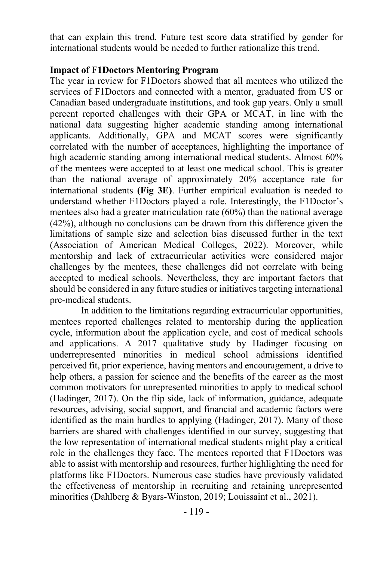that can explain this trend. Future test score data stratified by gender for international students would be needed to further rationalize this trend.

### **Impact of F1Doctors Mentoring Program**

The year in review for F1Doctors showed that all mentees who utilized the services of F1Doctors and connected with a mentor, graduated from US or Canadian based undergraduate institutions, and took gap years. Only a small percent reported challenges with their GPA or MCAT, in line with the national data suggesting higher academic standing among international applicants. Additionally, GPA and MCAT scores were significantly correlated with the number of acceptances, highlighting the importance of high academic standing among international medical students. Almost 60% of the mentees were accepted to at least one medical school. This is greater than the national average of approximately 20% acceptance rate for international students **(Fig 3E)**. Further empirical evaluation is needed to understand whether F1Doctors played a role. Interestingly, the F1Doctor's mentees also had a greater matriculation rate (60%) than the national average (42%), although no conclusions can be drawn from this difference given the limitations of sample size and selection bias discussed further in the text (Association of American Medical Colleges, 2022). Moreover, while mentorship and lack of extracurricular activities were considered major challenges by the mentees, these challenges did not correlate with being accepted to medical schools. Nevertheless, they are important factors that should be considered in any future studies or initiatives targeting international pre-medical students.

In addition to the limitations regarding extracurricular opportunities, mentees reported challenges related to mentorship during the application cycle, information about the application cycle, and cost of medical schools and applications. A 2017 qualitative study by Hadinger focusing on underrepresented minorities in medical school admissions identified perceived fit, prior experience, having mentors and encouragement, a drive to help others, a passion for science and the benefits of the career as the most common motivators for unrepresented minorities to apply to medical school (Hadinger, 2017). On the flip side, lack of information, guidance, adequate resources, advising, social support, and financial and academic factors were identified as the main hurdles to applying (Hadinger, 2017). Many of those barriers are shared with challenges identified in our survey, suggesting that the low representation of international medical students might play a critical role in the challenges they face. The mentees reported that F1Doctors was able to assist with mentorship and resources, further highlighting the need for platforms like F1Doctors. Numerous case studies have previously validated the effectiveness of mentorship in recruiting and retaining unrepresented minorities (Dahlberg & Byars-Winston, 2019; Louissaint et al., 2021).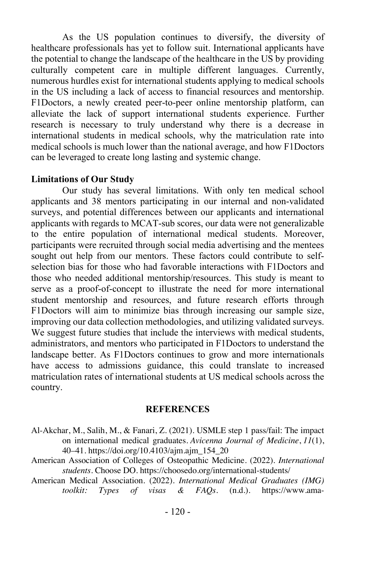As the US population continues to diversify, the diversity of healthcare professionals has yet to follow suit. International applicants have the potential to change the landscape of the healthcare in the US by providing culturally competent care in multiple different languages. Currently, numerous hurdles exist for international students applying to medical schools in the US including a lack of access to financial resources and mentorship. F1Doctors, a newly created peer-to-peer online mentorship platform, can alleviate the lack of support international students experience. Further research is necessary to truly understand why there is a decrease in international students in medical schools, why the matriculation rate into medical schools is much lower than the national average, and how F1Doctors can be leveraged to create long lasting and systemic change.

### **Limitations of Our Study**

Our study has several limitations. With only ten medical school applicants and 38 mentors participating in our internal and non-validated surveys, and potential differences between our applicants and international applicants with regards to MCAT-sub scores, our data were not generalizable to the entire population of international medical students. Moreover, participants were recruited through social media advertising and the mentees sought out help from our mentors. These factors could contribute to selfselection bias for those who had favorable interactions with F1Doctors and those who needed additional mentorship/resources. This study is meant to serve as a proof-of-concept to illustrate the need for more international student mentorship and resources, and future research efforts through F1Doctors will aim to minimize bias through increasing our sample size, improving our data collection methodologies, and utilizing validated surveys. We suggest future studies that include the interviews with medical students, administrators, and mentors who participated in F1Doctors to understand the landscape better. As F1Doctors continues to grow and more internationals have access to admissions guidance, this could translate to increased matriculation rates of international students at US medical schools across the country.

#### **REFERENCES**

- Al-Akchar, M., Salih, M., & Fanari, Z. (2021). USMLE step 1 pass/fail: The impact on international medical graduates. *Avicenna Journal of Medicine*, *11*(1), 40–41. https://doi.org/10.4103/ajm.ajm\_154\_20
- American Association of Colleges of Osteopathic Medicine. (2022). *International students*. Choose DO. https://choosedo.org/international-students/
- American Medical Association*.* (2022). *International Medical Graduates (IMG) toolkit: Types of visas & FAQs*. (n.d.). https://www.ama-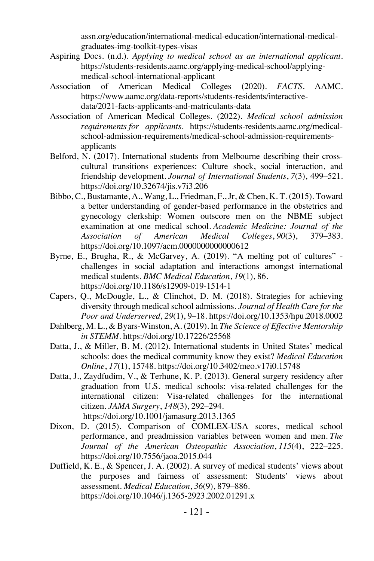assn.org/education/international-medical-education/international-medicalgraduates-img-toolkit-types-visas

- Aspiring Docs. (n.d.). *Applying to medical school as an international applicant*. https://students-residents.aamc.org/applying-medical-school/applyingmedical-school-international-applicant
- Association of American Medical Colleges (2020). *FACTS*. AAMC. https://www.aamc.org/data-reports/students-residents/interactivedata/2021-facts-applicants-and-matriculants-data
- Association of American Medical Colleges. (2022). *Medical school admission requirements for applicants*. https://students-residents.aamc.org/medicalschool-admission-requirements/medical-school-admission-requirementsapplicants
- Belford, N. (2017). International students from Melbourne describing their crosscultural transitions experiences: Culture shock, social interaction, and friendship development. *Journal of International Students*, *7*(3), 499–521. https://doi.org/10.32674/jis.v7i3.206
- Bibbo, C., Bustamante, A., Wang, L., Friedman, F., Jr, & Chen, K. T. (2015). Toward a better understanding of gender-based performance in the obstetrics and gynecology clerkship: Women outscore men on the NBME subject examination at one medical school. *Academic Medicine: Journal of the Association of American Medical Colleges*, *90*(3), 379–383. https://doi.org/10.1097/acm.0000000000000612
- Byrne, E., Brugha, R., & McGarvey, A. (2019). "A melting pot of cultures" challenges in social adaptation and interactions amongst international medical students. *BMC Medical Education*, *19*(1), 86. https://doi.org/10.1186/s12909-019-1514-1
- Capers, Q., McDougle, L., & Clinchot, D. M. (2018). Strategies for achieving diversity through medical school admissions. *Journal of Health Care for the Poor and Underserved*, *29*(1), 9–18. https://doi.org/10.1353/hpu.2018.0002
- Dahlberg, M. L., & Byars-Winston, A. (2019). In *The Science of Effective Mentorship in STEMM*. https://doi.org/10.17226/25568
- Datta, J., & Miller, B. M. (2012). International students in United States' medical schools: does the medical community know they exist? *Medical Education Online*, *17*(1), 15748. https://doi.org/10.3402/meo.v17i0.15748
- Datta, J., Zaydfudim, V., & Terhune, K. P. (2013). General surgery residency after graduation from U.S. medical schools: visa-related challenges for the international citizen: Visa-related challenges for the international citizen. *JAMA Surgery*, *148*(3), 292–294. https://doi.org/10.1001/jamasurg.2013.1365
- Dixon, D. (2015). Comparison of COMLEX-USA scores, medical school performance, and preadmission variables between women and men. *The Journal of the American Osteopathic Association*, *115*(4), 222–225. https://doi.org/10.7556/jaoa.2015.044
- Duffield, K. E., & Spencer, J. A. (2002). A survey of medical students' views about the purposes and fairness of assessment: Students' views about assessment. *Medical Education*, *36*(9), 879–886. https://doi.org/10.1046/j.1365-2923.2002.01291.x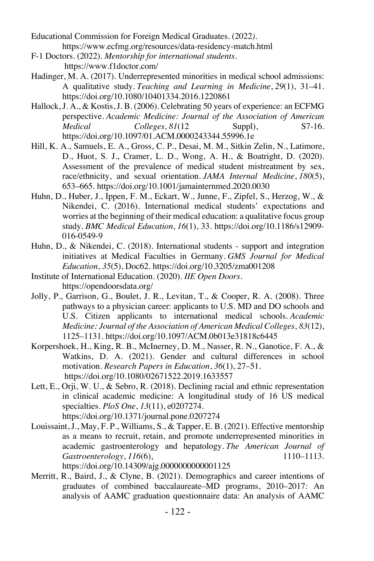Educational Commission for Foreign Medical Graduates. (2022*).*  https://www.ecfmg.org/resources/data-residency-match.html

- F-1 Doctors. (2022). *Mentorship for international students*. https://www.f1doctor.com/
- Hadinger, M. A. (2017). Underrepresented minorities in medical school admissions: A qualitative study. *Teaching and Learning in Medicine*, *29*(1), 31–41. https://doi.org/10.1080/10401334.2016.1220861
- Hallock, J. A., & Kostis, J. B. (2006). Celebrating 50 years of experience: an ECFMG perspective. *Academic Medicine: Journal of the Association of American Medical Colleges*, *81*(12 Suppl), S7-16. https://doi.org/10.1097/01.ACM.0000243344.55996.1e
- Hill, K. A., Samuels, E. A., Gross, C. P., Desai, M. M., Sitkin Zelin, N., Latimore, D., Huot, S. J., Cramer, L. D., Wong, A. H., & Boatright, D. (2020). Assessment of the prevalence of medical student mistreatment by sex, race/ethnicity, and sexual orientation. *JAMA Internal Medicine*, *180*(5), 653–665. https://doi.org/10.1001/jamainternmed.2020.0030
- Huhn, D., Huber, J., Ippen, F. M., Eckart, W., Junne, F., Zipfel, S., Herzog, W., & Nikendei, C. (2016). International medical students' expectations and worries at the beginning of their medical education: a qualitative focus group study. *BMC Medical Education*, *16*(1), 33. https://doi.org/10.1186/s12909- 016-0549-9
- Huhn, D., & Nikendei, C. (2018). International students support and integration initiatives at Medical Faculties in Germany. *GMS Journal for Medical Education*, *35*(5), Doc62. https://doi.org/10.3205/zma001208
- Institute of International Education. (2020). *IIE Open Doors*. https://opendoorsdata.org/
- Jolly, P., Garrison, G., Boulet, J. R., Levitan, T., & Cooper, R. A. (2008). Three pathways to a physician career: applicants to U.S. MD and DO schools and U.S. Citizen applicants to international medical schools. *Academic Medicine: Journal of the Association of American Medical Colleges*, *83*(12), 1125–1131. https://doi.org/10.1097/ACM.0b013e31818c6445
- Korpershoek, H., King, R. B., McInerney, D. M., Nasser, R. N., Ganotice, F. A., & Watkins, D. A. (2021). Gender and cultural differences in school motivation. *Research Papers in Education*, *36*(1), 27–51. https://doi.org/10.1080/02671522.2019.1633557
- Lett, E., Orji, W. U., & Sebro, R. (2018). Declining racial and ethnic representation in clinical academic medicine: A longitudinal study of 16 US medical specialties. *PloS One*, *13*(11), e0207274. https://doi.org/10.1371/journal.pone.0207274
- Louissaint, J., May, F. P., Williams, S., & Tapper, E. B. (2021). Effective mentorship as a means to recruit, retain, and promote underrepresented minorities in academic gastroenterology and hepatology. *The American Journal of Gastroenterology*, *116*(6), 1110–1113. https://doi.org/10.14309/ajg.0000000000001125
- Merritt, R., Baird, J., & Clyne, B. (2021). Demographics and career intentions of graduates of combined baccalaureate–MD programs, 2010–2017: An analysis of AAMC graduation questionnaire data: An analysis of AAMC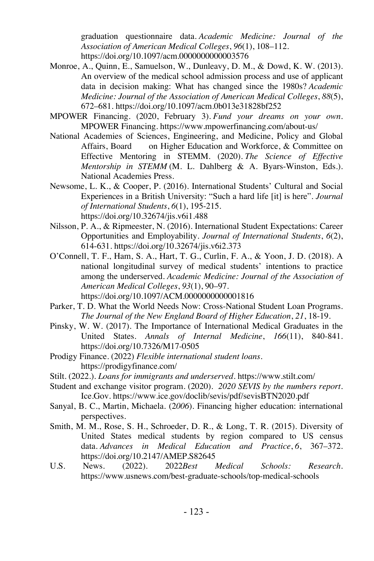graduation questionnaire data. *Academic Medicine: Journal of the Association of American Medical Colleges*, *96*(1), 108–112. https://doi.org/10.1097/acm.0000000000003576

- Monroe, A., Quinn, E., Samuelson, W., Dunleavy, D. M., & Dowd, K. W. (2013). An overview of the medical school admission process and use of applicant data in decision making: What has changed since the 1980s? *Academic Medicine: Journal of the Association of American Medical Colleges*, *88*(5), 672–681. https://doi.org/10.1097/acm.0b013e31828bf252
- MPOWER Financing. (2020, February 3). *Fund your dreams on your own.*  MPOWER Financing. https://www.mpowerfinancing.com/about-us/
- National Academies of Sciences, Engineering, and Medicine, Policy and Global Affairs, Board on Higher Education and Workforce, & Committee on Effective Mentoring in STEMM. (2020). *The Science of Effective Mentorship in STEMM* (M. L. Dahlberg & A. Byars-Winston, Eds.). National Academies Press.
- Newsome, L. K., & Cooper, P. (2016). International Students' Cultural and Social Experiences in a British University: "Such a hard life [it] is here". *Journal of International Students*, *6*(1), 195-215. https://doi.org/10.32674/jis.v6i1.488
- Nilsson, P. A., & Ripmeester, N. (2016). International Student Expectations: Career Opportunities and Employability. *Journal of International Students*, *6*(2), 614-631. https://doi.org/10.32674/jis.v6i2.373
- O'Connell, T. F., Ham, S. A., Hart, T. G., Curlin, F. A., & Yoon, J. D. (2018). A national longitudinal survey of medical students' intentions to practice among the underserved. *Academic Medicine: Journal of the Association of American Medical Colleges*, *93*(1), 90–97. https://doi.org/10.1097/ACM.0000000000001816
- Parker, T. D. What the World Needs Now: Cross-National Student Loan Programs. *The Journal of the New England Board of Higher Education*, *21*, 18-19.
- Pinsky, W. W. (2017). The Importance of International Medical Graduates in the United States. *Annals of Internal Medicine*, *166*(11), 840-841. https://doi.org/10.7326/M17-0505
- Prodigy Finance. (2022) *Flexible international student loans*. https://prodigyfinance.com/
- Stilt. (2022.). *Loans for immigrants and underserved*. https://www.stilt.com/
- Student and exchange visitor program. (2020). *2020 SEVIS by the numbers report*. Ice.Gov. https://www.ice.gov/doclib/sevis/pdf/sevisBTN2020.pdf
- Sanyal, B. C., Martin, Michaela. (2*006*). Financing higher education: international perspectives.
- Smith, M. M., Rose, S. H., Schroeder, D. R., & Long, T. R. (2015). Diversity of United States medical students by region compared to US census data. *Advances in Medical Education and Practice*, *6*, 367–372. https://doi.org/10.2147/AMEP.S82645
- U.S. News. (2022). 2022*Best Medical Schools: Research*. https://www.usnews.com/best-graduate-schools/top-medical-schools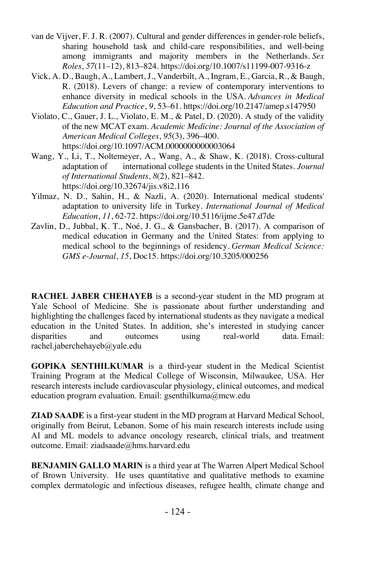- van de Vijver, F. J. R. (2007). Cultural and gender differences in gender-role beliefs, sharing household task and child-care responsibilities, and well-being among immigrants and majority members in the Netherlands. *Sex Roles*, *57*(11–12), 813–824. https://doi.org/10.1007/s11199-007-9316-z
- Vick, A. D., Baugh, A., Lambert, J., Vanderbilt, A., Ingram, E., Garcia, R., & Baugh, R. (2018). Levers of change: a review of contemporary interventions to enhance diversity in medical schools in the USA. *Advances in Medical Education and Practice*, *9*, 53–61. https://doi.org/10.2147/amep.s147950
- Violato, C., Gauer, J. L., Violato, E. M., & Patel, D. (2020). A study of the validity of the new MCAT exam. *Academic Medicine: Journal of the Association of American Medical Colleges*, *95*(3), 396–400. https://doi.org/10.1097/ACM.0000000000003064
- Wang, Y., Li, T., Noltemeyer, A., Wang, A., & Shaw, K. (2018). Cross-cultural adaptation of international college students in the United States. *Journal of International Students*, *8*(2), 821–842. https://doi.org/10.32674/jis.v8i2.116
- Yilmaz, N. D., Sahin, H., & Nazli, A. (2020). International medical students' adaptation to university life in Turkey. *International Journal of Medical Education*, *11*, 62-72. https://doi.org/10.5116/ijme.5e47.d7de
- Zavlin, D., Jubbal, K. T., Noé, J. G., & Gansbacher, B. (2017). A comparison of medical education in Germany and the United States: from applying to medical school to the beginnings of residency. *German Medical Science: GMS e-Journal*, *15*, Doc15. https://doi.org/10.3205/000256

**RACHEL JABER CHEHAYEB** is a second-year student in the MD program at Yale School of Medicine. She is passionate about further understanding and highlighting the challenges faced by international students as they navigate a medical education in the United States. In addition, she's interested in studying cancer disparities and outcomes using real-world data. Email: rachel.jaberchehayeb@yale.edu

**GOPIKA SENTHILKUMAR** is a third-year student in the Medical Scientist Training Program at the Medical College of Wisconsin, Milwaukee, USA. Her research interests include cardiovascular physiology, clinical outcomes, and medical education program evaluation. Email: gsenthilkuma@mcw.edu

**ZIAD SAADE** is a first-year student in the MD program at Harvard Medical School, originally from Beirut, Lebanon. Some of his main research interests include using AI and ML models to advance oncology research, clinical trials, and treatment outcome. Email: ziadsaade@hms.harvard.edu

**BENJAMIN GALLO MARIN** is a third year at The Warren Alpert Medical School of Brown University. He uses quantitative and qualitative methods to examine complex dermatologic and infectious diseases, refugee health, climate change and